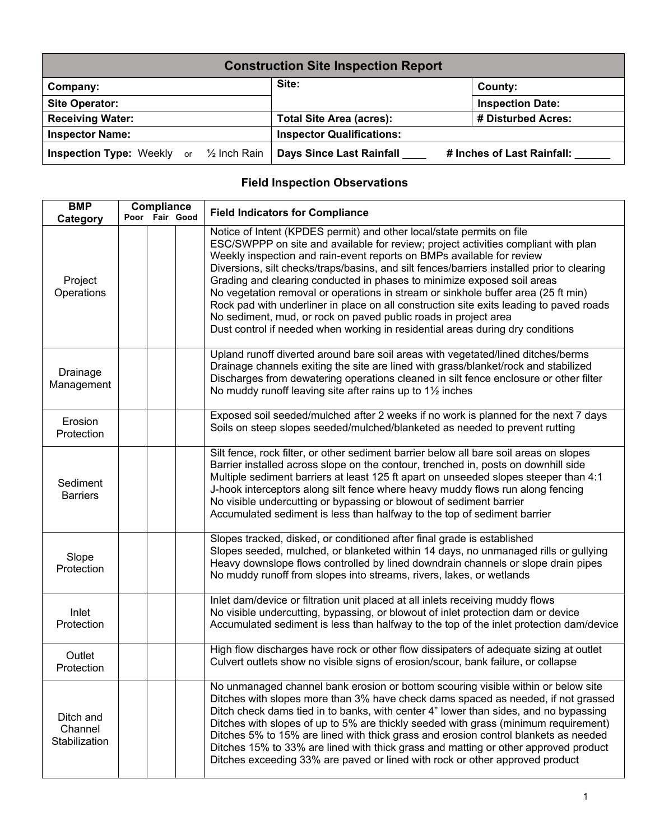| <b>Construction Site Inspection Report</b>                |                                  |                            |  |  |  |  |  |
|-----------------------------------------------------------|----------------------------------|----------------------------|--|--|--|--|--|
| Company:                                                  | Site:                            | County:                    |  |  |  |  |  |
| <b>Site Operator:</b>                                     |                                  | <b>Inspection Date:</b>    |  |  |  |  |  |
| <b>Receiving Water:</b>                                   | <b>Total Site Area (acres):</b>  | # Disturbed Acres:         |  |  |  |  |  |
| <b>Inspector Name:</b>                                    | <b>Inspector Qualifications:</b> |                            |  |  |  |  |  |
| <b>Inspection Type:</b> Weekly or $\frac{1}{2}$ Inch Rain | Days Since Last Rainfall         | # Inches of Last Rainfall: |  |  |  |  |  |

## **Field Inspection Observations**

| <b>BMP</b><br>Category                | Compliance<br>Poor Fair Good |  | <b>Field Indicators for Compliance</b>                                                                                                                                                                                                                                                                                                                                                                                                                                                                                                                                                                                                                                                                                                             |
|---------------------------------------|------------------------------|--|----------------------------------------------------------------------------------------------------------------------------------------------------------------------------------------------------------------------------------------------------------------------------------------------------------------------------------------------------------------------------------------------------------------------------------------------------------------------------------------------------------------------------------------------------------------------------------------------------------------------------------------------------------------------------------------------------------------------------------------------------|
| Project<br>Operations                 |                              |  | Notice of Intent (KPDES permit) and other local/state permits on file<br>ESC/SWPPP on site and available for review; project activities compliant with plan<br>Weekly inspection and rain-event reports on BMPs available for review<br>Diversions, silt checks/traps/basins, and silt fences/barriers installed prior to clearing<br>Grading and clearing conducted in phases to minimize exposed soil areas<br>No vegetation removal or operations in stream or sinkhole buffer area (25 ft min)<br>Rock pad with underliner in place on all construction site exits leading to paved roads<br>No sediment, mud, or rock on paved public roads in project area<br>Dust control if needed when working in residential areas during dry conditions |
| Drainage<br>Management                |                              |  | Upland runoff diverted around bare soil areas with vegetated/lined ditches/berms<br>Drainage channels exiting the site are lined with grass/blanket/rock and stabilized<br>Discharges from dewatering operations cleaned in silt fence enclosure or other filter<br>No muddy runoff leaving site after rains up to $1\frac{1}{2}$ inches                                                                                                                                                                                                                                                                                                                                                                                                           |
| Erosion<br>Protection                 |                              |  | Exposed soil seeded/mulched after 2 weeks if no work is planned for the next 7 days<br>Soils on steep slopes seeded/mulched/blanketed as needed to prevent rutting                                                                                                                                                                                                                                                                                                                                                                                                                                                                                                                                                                                 |
| Sediment<br><b>Barriers</b>           |                              |  | Silt fence, rock filter, or other sediment barrier below all bare soil areas on slopes<br>Barrier installed across slope on the contour, trenched in, posts on downhill side<br>Multiple sediment barriers at least 125 ft apart on unseeded slopes steeper than 4:1<br>J-hook interceptors along silt fence where heavy muddy flows run along fencing<br>No visible undercutting or bypassing or blowout of sediment barrier<br>Accumulated sediment is less than halfway to the top of sediment barrier                                                                                                                                                                                                                                          |
| Slope<br>Protection                   |                              |  | Slopes tracked, disked, or conditioned after final grade is established<br>Slopes seeded, mulched, or blanketed within 14 days, no unmanaged rills or gullying<br>Heavy downslope flows controlled by lined downdrain channels or slope drain pipes<br>No muddy runoff from slopes into streams, rivers, lakes, or wetlands                                                                                                                                                                                                                                                                                                                                                                                                                        |
| Inlet<br>Protection                   |                              |  | Inlet dam/device or filtration unit placed at all inlets receiving muddy flows<br>No visible undercutting, bypassing, or blowout of inlet protection dam or device<br>Accumulated sediment is less than halfway to the top of the inlet protection dam/device                                                                                                                                                                                                                                                                                                                                                                                                                                                                                      |
| Outlet<br>Protection                  |                              |  | High flow discharges have rock or other flow dissipaters of adequate sizing at outlet<br>Culvert outlets show no visible signs of erosion/scour, bank failure, or collapse                                                                                                                                                                                                                                                                                                                                                                                                                                                                                                                                                                         |
| Ditch and<br>Channel<br>Stabilization |                              |  | No unmanaged channel bank erosion or bottom scouring visible within or below site<br>Ditches with slopes more than 3% have check dams spaced as needed, if not grassed<br>Ditch check dams tied in to banks, with center 4" lower than sides, and no bypassing<br>Ditches with slopes of up to 5% are thickly seeded with grass (minimum requirement)<br>Ditches 5% to 15% are lined with thick grass and erosion control blankets as needed<br>Ditches 15% to 33% are lined with thick grass and matting or other approved product<br>Ditches exceeding 33% are paved or lined with rock or other approved product                                                                                                                                |